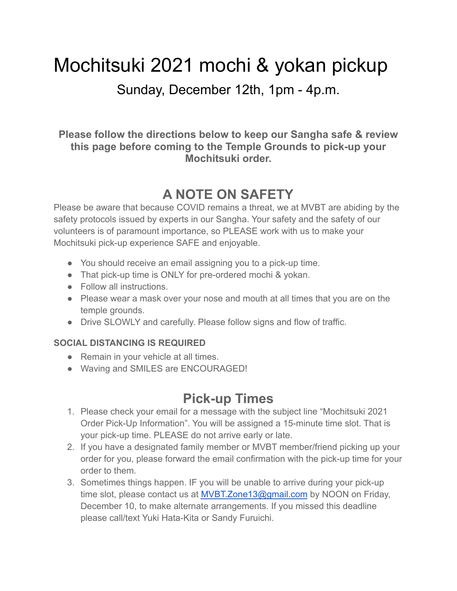# Mochitsuki 2021 mochi & yokan pickup

Sunday, December 12th, 1pm - 4p.m.

**Please follow the directions below to keep our Sangha safe & review this page before coming to the Temple Grounds to pick-up your Mochitsuki order.**

# **A NOTE ON SAFETY**

Please be aware that because COVID remains a threat, we at MVBT are abiding by the safety protocols issued by experts in our Sangha. Your safety and the safety of our volunteers is of paramount importance, so PLEASE work with us to make your Mochitsuki pick-up experience SAFE and enjoyable.

- You should receive an email assigning you to a pick-up time.
- That pick-up time is ONLY for pre-ordered mochi & yokan.
- Follow all instructions.
- Please wear a mask over your nose and mouth at all times that you are on the temple grounds.
- Drive SLOWLY and carefully. Please follow signs and flow of traffic.

#### **SOCIAL DISTANCING IS REQUIRED**

- Remain in your vehicle at all times.
- Waving and SMILES are ENCOURAGED!

#### **Pick-up Times**

- 1. Please check your email for a message with the subject line "Mochitsuki 2021 Order Pick-Up Information". You will be assigned a 15-minute time slot. That is your pick-up time. PLEASE do not arrive early or late.
- 2. If you have a designated family member or MVBT member/friend picking up your order for you, please forward the email confirmation with the pick-up time for your order to them.
- 3. Sometimes things happen. IF you will be unable to arrive during your pick-up time slot, please contact us at [MVBT.Zone13@gmail.com](mailto:MVBT.Zone13@gmail.com) by NOON on Friday, December 10, to make alternate arrangements. If you missed this deadline please call/text Yuki Hata-Kita or Sandy Furuichi.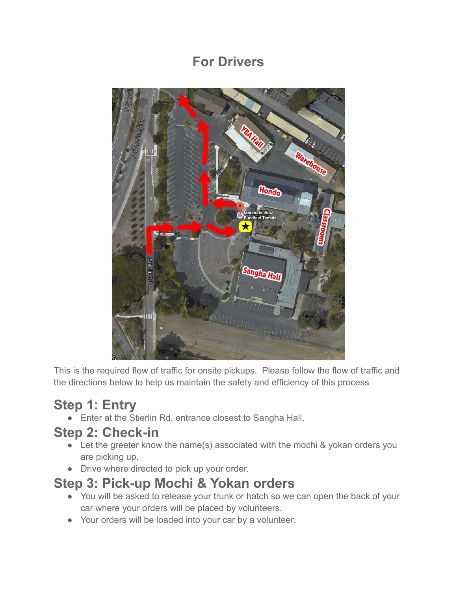### **For Drivers**



This is the required flow of traffic for onsite pickups. Please follow the flow of traffic and the directions below to help us maintain the safety and efficiency of this process

# **Step 1: Entry**

● Enter at the Stierlin Rd. entrance closest to Sangha Hall.

#### **Step 2: Check-in**

- Let the greeter know the name(s) associated with the mochi & yokan orders you are picking up.
- Drive where directed to pick up your order.

#### **Step 3: Pick-up Mochi & Yokan orders**

- You will be asked to release your trunk or hatch so we can open the back of your car where your orders will be placed by volunteers.
- Your orders will be loaded into your car by a volunteer.